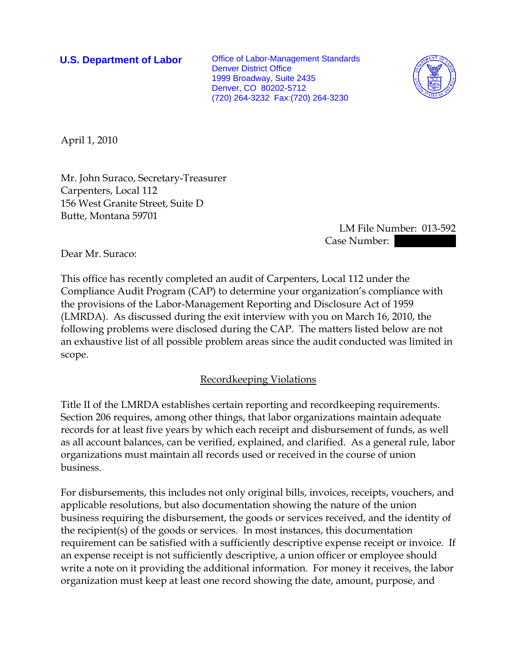**U.S. Department of Labor** Office of Labor-Management Standards Denver District Office 1999 Broadway, Suite 2435 Denver, CO 80202-5712 (720) 264-3232 Fax:(720) 264-3230



April 1, 2010

Mr. John Suraco, Secretary-Treasurer Carpenters, Local 112 156 West Granite Street, Suite D Butte, Montana 59701

 LM File Number: 013-592 Case Number:

Dear Mr. Suraco:

This office has recently completed an audit of Carpenters, Local 112 under the Compliance Audit Program (CAP) to determine your organization's compliance with the provisions of the Labor-Management Reporting and Disclosure Act of 1959 (LMRDA). As discussed during the exit interview with you on March 16, 2010, the following problems were disclosed during the CAP. The matters listed below are not an exhaustive list of all possible problem areas since the audit conducted was limited in scope.

## Recordkeeping Violations

Title II of the LMRDA establishes certain reporting and recordkeeping requirements. Section 206 requires, among other things, that labor organizations maintain adequate records for at least five years by which each receipt and disbursement of funds, as well as all account balances, can be verified, explained, and clarified. As a general rule, labor organizations must maintain all records used or received in the course of union business.

For disbursements, this includes not only original bills, invoices, receipts, vouchers, and applicable resolutions, but also documentation showing the nature of the union business requiring the disbursement, the goods or services received, and the identity of the recipient(s) of the goods or services. In most instances, this documentation requirement can be satisfied with a sufficiently descriptive expense receipt or invoice. If an expense receipt is not sufficiently descriptive, a union officer or employee should write a note on it providing the additional information. For money it receives, the labor organization must keep at least one record showing the date, amount, purpose, and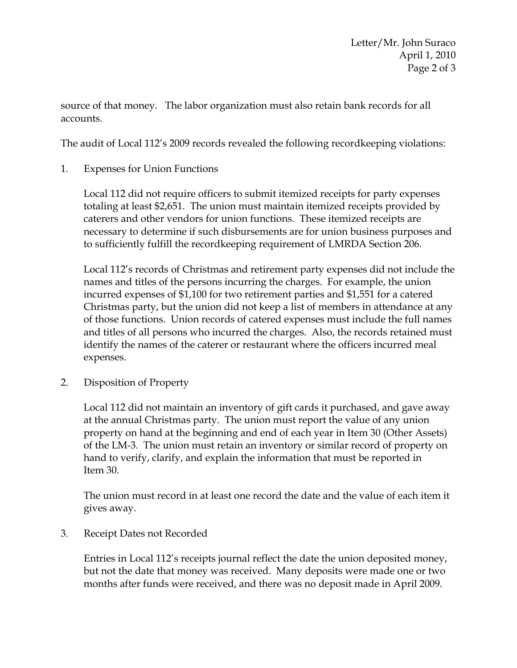source of that money. The labor organization must also retain bank records for all accounts.

The audit of Local 112's 2009 records revealed the following recordkeeping violations:

1. Expenses for Union Functions

Local 112 did not require officers to submit itemized receipts for party expenses totaling at least \$2,651. The union must maintain itemized receipts provided by caterers and other vendors for union functions. These itemized receipts are necessary to determine if such disbursements are for union business purposes and to sufficiently fulfill the recordkeeping requirement of LMRDA Section 206.

Local 112's records of Christmas and retirement party expenses did not include the names and titles of the persons incurring the charges. For example, the union incurred expenses of \$1,100 for two retirement parties and \$1,551 for a catered Christmas party, but the union did not keep a list of members in attendance at any of those functions. Union records of catered expenses must include the full names and titles of all persons who incurred the charges. Also, the records retained must identify the names of the caterer or restaurant where the officers incurred meal expenses.

2. Disposition of Property

Local 112 did not maintain an inventory of gift cards it purchased, and gave away at the annual Christmas party. The union must report the value of any union property on hand at the beginning and end of each year in Item 30 (Other Assets) of the LM-3. The union must retain an inventory or similar record of property on hand to verify, clarify, and explain the information that must be reported in Item 30.

The union must record in at least one record the date and the value of each item it gives away.

3. Receipt Dates not Recorded

Entries in Local 112's receipts journal reflect the date the union deposited money, but not the date that money was received. Many deposits were made one or two months after funds were received, and there was no deposit made in April 2009.